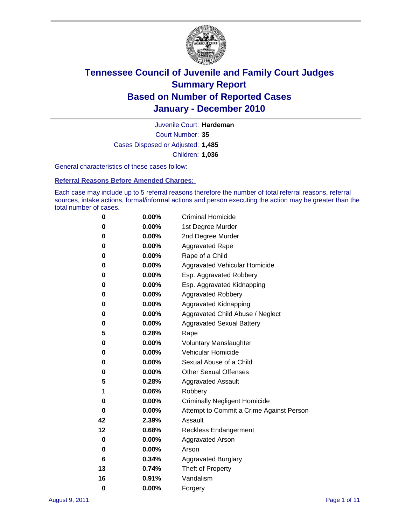

Court Number: **35** Juvenile Court: **Hardeman** Cases Disposed or Adjusted: **1,485** Children: **1,036**

General characteristics of these cases follow:

**Referral Reasons Before Amended Charges:** 

Each case may include up to 5 referral reasons therefore the number of total referral reasons, referral sources, intake actions, formal/informal actions and person executing the action may be greater than the total number of cases.

| 0  | $0.00\%$ | <b>Criminal Homicide</b>                 |
|----|----------|------------------------------------------|
| 0  | 0.00%    | 1st Degree Murder                        |
| 0  | 0.00%    | 2nd Degree Murder                        |
| 0  | 0.00%    | <b>Aggravated Rape</b>                   |
| 0  | 0.00%    | Rape of a Child                          |
| 0  | 0.00%    | Aggravated Vehicular Homicide            |
| 0  | 0.00%    | Esp. Aggravated Robbery                  |
| 0  | 0.00%    | Esp. Aggravated Kidnapping               |
| 0  | 0.00%    | <b>Aggravated Robbery</b>                |
| 0  | 0.00%    | Aggravated Kidnapping                    |
| 0  | 0.00%    | Aggravated Child Abuse / Neglect         |
| 0  | 0.00%    | <b>Aggravated Sexual Battery</b>         |
| 5  | 0.28%    | Rape                                     |
| 0  | 0.00%    | <b>Voluntary Manslaughter</b>            |
| 0  | 0.00%    | Vehicular Homicide                       |
| 0  | 0.00%    | Sexual Abuse of a Child                  |
| 0  | 0.00%    | <b>Other Sexual Offenses</b>             |
| 5  | 0.28%    | <b>Aggravated Assault</b>                |
| 1  | 0.06%    | Robbery                                  |
| 0  | 0.00%    | <b>Criminally Negligent Homicide</b>     |
| 0  | 0.00%    | Attempt to Commit a Crime Against Person |
| 42 | 2.39%    | Assault                                  |
| 12 | 0.68%    | <b>Reckless Endangerment</b>             |
| 0  | 0.00%    | <b>Aggravated Arson</b>                  |
| 0  | 0.00%    | Arson                                    |
| 6  | 0.34%    | <b>Aggravated Burglary</b>               |
| 13 | 0.74%    | Theft of Property                        |
| 16 | 0.91%    | Vandalism                                |
| 0  | 0.00%    | Forgery                                  |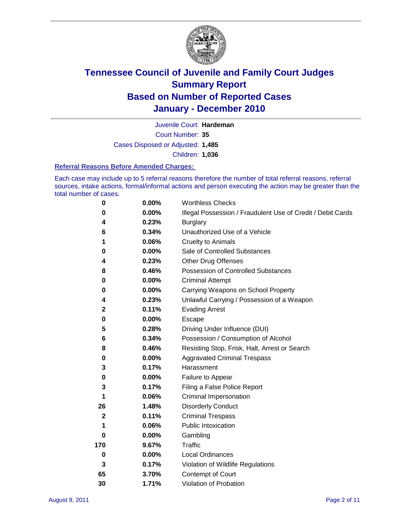

Court Number: **35** Juvenile Court: **Hardeman** Cases Disposed or Adjusted: **1,485** Children: **1,036**

#### **Referral Reasons Before Amended Charges:**

Each case may include up to 5 referral reasons therefore the number of total referral reasons, referral sources, intake actions, formal/informal actions and person executing the action may be greater than the total number of cases.

| $\pmb{0}$    | 0.00%    | <b>Worthless Checks</b>                                     |
|--------------|----------|-------------------------------------------------------------|
| 0            | 0.00%    | Illegal Possession / Fraudulent Use of Credit / Debit Cards |
| 4            | 0.23%    | <b>Burglary</b>                                             |
| 6            | 0.34%    | Unauthorized Use of a Vehicle                               |
| 1            | 0.06%    | <b>Cruelty to Animals</b>                                   |
| 0            | 0.00%    | Sale of Controlled Substances                               |
| 4            | 0.23%    | <b>Other Drug Offenses</b>                                  |
| 8            | 0.46%    | Possession of Controlled Substances                         |
| 0            | $0.00\%$ | <b>Criminal Attempt</b>                                     |
| 0            | 0.00%    | Carrying Weapons on School Property                         |
| 4            | 0.23%    | Unlawful Carrying / Possession of a Weapon                  |
| 2            | 0.11%    | <b>Evading Arrest</b>                                       |
| 0            | 0.00%    | Escape                                                      |
| 5            | 0.28%    | Driving Under Influence (DUI)                               |
| 6            | 0.34%    | Possession / Consumption of Alcohol                         |
| 8            | 0.46%    | Resisting Stop, Frisk, Halt, Arrest or Search               |
| 0            | $0.00\%$ | <b>Aggravated Criminal Trespass</b>                         |
| 3            | 0.17%    | Harassment                                                  |
| 0            | 0.00%    | Failure to Appear                                           |
| 3            | 0.17%    | Filing a False Police Report                                |
| 1            | 0.06%    | Criminal Impersonation                                      |
| 26           | 1.48%    | <b>Disorderly Conduct</b>                                   |
| $\mathbf{2}$ | 0.11%    | <b>Criminal Trespass</b>                                    |
| 1            | 0.06%    | <b>Public Intoxication</b>                                  |
| 0            | $0.00\%$ | Gambling                                                    |
| 170          | 9.67%    | Traffic                                                     |
| 0            | $0.00\%$ | Local Ordinances                                            |
| 3            | 0.17%    | Violation of Wildlife Regulations                           |
| 65           | 3.70%    | Contempt of Court                                           |
| 30           | 1.71%    | Violation of Probation                                      |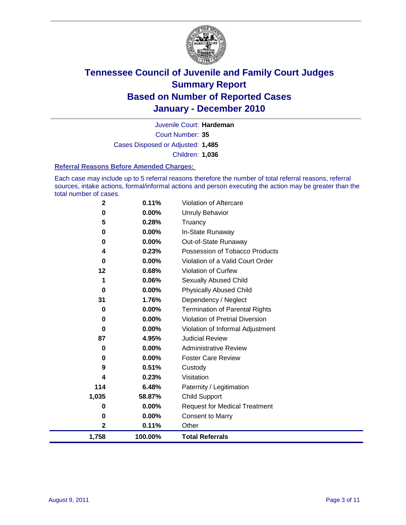

Court Number: **35** Juvenile Court: **Hardeman** Cases Disposed or Adjusted: **1,485** Children: **1,036**

### **Referral Reasons Before Amended Charges:**

Each case may include up to 5 referral reasons therefore the number of total referral reasons, referral sources, intake actions, formal/informal actions and person executing the action may be greater than the total number of cases.

| 2<br>1,758  | 0.11%<br>100.00% | Other<br><b>Total Referrals</b>        |
|-------------|------------------|----------------------------------------|
| 0           | 0.00%            | <b>Consent to Marry</b>                |
| 0           | 0.00%            | <b>Request for Medical Treatment</b>   |
| 1,035       | 58.87%           | <b>Child Support</b>                   |
| 114         | 6.48%            | Paternity / Legitimation               |
| 4           | 0.23%            | Visitation                             |
| 9           | 0.51%            | Custody                                |
| 0           | 0.00%            | <b>Foster Care Review</b>              |
| 0           | 0.00%            | <b>Administrative Review</b>           |
| 87          | 4.95%            | <b>Judicial Review</b>                 |
| 0           | 0.00%            | Violation of Informal Adjustment       |
| 0           | 0.00%            | <b>Violation of Pretrial Diversion</b> |
| 0           | 0.00%            | Termination of Parental Rights         |
| 31          | 1.76%            | Dependency / Neglect                   |
| 0           | 0.00%            | <b>Physically Abused Child</b>         |
| 1           | 0.06%            | Sexually Abused Child                  |
| 12          | 0.68%            | Violation of Curfew                    |
| 0           | 0.00%            | Violation of a Valid Court Order       |
| 4           | 0.23%            | Possession of Tobacco Products         |
| 0           | 0.00%            | Out-of-State Runaway                   |
| 0           | 0.00%            | In-State Runaway                       |
| 0<br>5      | 0.00%<br>0.28%   | <b>Unruly Behavior</b><br>Truancy      |
| $\mathbf 2$ | 0.11%            | Violation of Aftercare                 |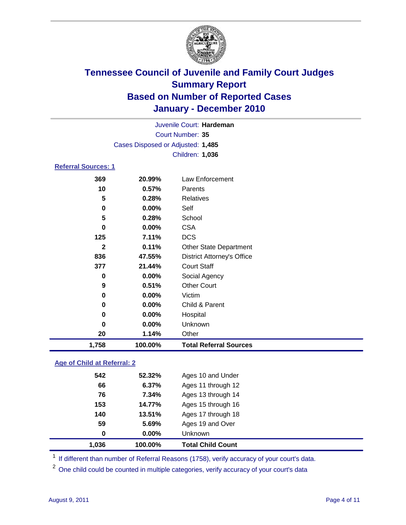

| Juvenile Court: Hardeman<br>Court Number: 35 |                                   |                               |  |  |  |
|----------------------------------------------|-----------------------------------|-------------------------------|--|--|--|
|                                              | Cases Disposed or Adjusted: 1,485 |                               |  |  |  |
|                                              |                                   | Children: 1,036               |  |  |  |
| <b>Referral Sources: 1</b>                   |                                   |                               |  |  |  |
| 369                                          | 20.99%                            | <b>Law Enforcement</b>        |  |  |  |
| 10                                           | 0.57%                             | Parents                       |  |  |  |
| 5                                            | 0.28%                             | Relatives                     |  |  |  |
| 0                                            | $0.00\%$                          | Self                          |  |  |  |
| 5                                            | 0.28%                             | School                        |  |  |  |
| 0                                            | $0.00\%$                          | <b>CSA</b>                    |  |  |  |
| 125                                          | 7.11%                             | <b>DCS</b>                    |  |  |  |
| 2                                            | 0.11%                             | <b>Other State Department</b> |  |  |  |

| 1,758        | 100.00%  | <b>Total Referral Sources</b>     |
|--------------|----------|-----------------------------------|
| 20           | 1.14%    | Other                             |
| 0            | 0.00%    | Unknown                           |
| 0            | 0.00%    | Hospital                          |
| 0            | $0.00\%$ | Child & Parent                    |
| 0            | 0.00%    | Victim                            |
| 9            | 0.51%    | <b>Other Court</b>                |
| 0            | 0.00%    | Social Agency                     |
| 377          | 21.44%   | <b>Court Staff</b>                |
| 836          | 47.55%   | <b>District Attorney's Office</b> |
| $\mathbf{2}$ | 0.11%    | <b>Other State Department</b>     |
| 125          | 7.11%    | <b>DCS</b>                        |
| 0            | 0.00%    | <b>CSA</b>                        |
| 5            | 0.28%    | School                            |
| 0            | 0.00%    | Self                              |
| 5            | 0.28%    | Relatives                         |
| 10           | 0.57%    | Parents                           |
| JUJ          | LV.JJ /0 | LAW LINVICTIIGHT                  |

### **Age of Child at Referral: 2**

| 1,036    | 100.00% | <b>Total Child Count</b> |
|----------|---------|--------------------------|
| $\bf{0}$ | 0.00%   | <b>Unknown</b>           |
| 59       | 5.69%   | Ages 19 and Over         |
| 140      | 13.51%  | Ages 17 through 18       |
| 153      | 14.77%  | Ages 15 through 16       |
| 76       | 7.34%   | Ages 13 through 14       |
| 66       | 6.37%   | Ages 11 through 12       |
| 542      | 52.32%  | Ages 10 and Under        |
|          |         |                          |

<sup>1</sup> If different than number of Referral Reasons (1758), verify accuracy of your court's data.

<sup>2</sup> One child could be counted in multiple categories, verify accuracy of your court's data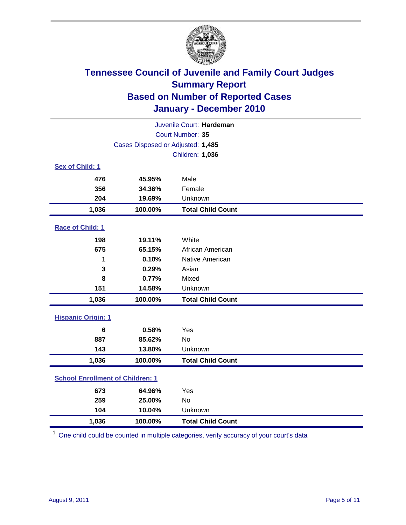

| Juvenile Court: Hardeman                |                                   |                          |  |  |  |
|-----------------------------------------|-----------------------------------|--------------------------|--|--|--|
|                                         | Court Number: 35                  |                          |  |  |  |
|                                         | Cases Disposed or Adjusted: 1,485 |                          |  |  |  |
|                                         | Children: 1,036                   |                          |  |  |  |
| Sex of Child: 1                         |                                   |                          |  |  |  |
| 476                                     | 45.95%                            | Male                     |  |  |  |
| 356                                     | 34.36%                            | Female                   |  |  |  |
| 204                                     | 19.69%                            | Unknown                  |  |  |  |
| 1,036                                   | 100.00%                           | <b>Total Child Count</b> |  |  |  |
| Race of Child: 1                        |                                   |                          |  |  |  |
| 198                                     | 19.11%                            | White                    |  |  |  |
| 675                                     | 65.15%                            | African American         |  |  |  |
| 1                                       | 0.10%                             | Native American          |  |  |  |
| 3                                       | 0.29%                             | Asian                    |  |  |  |
| 8                                       | 0.77%                             | Mixed                    |  |  |  |
| 151                                     | 14.58%                            | Unknown                  |  |  |  |
| 1,036                                   | 100.00%                           | <b>Total Child Count</b> |  |  |  |
| <b>Hispanic Origin: 1</b>               |                                   |                          |  |  |  |
| 6                                       | 0.58%                             | Yes                      |  |  |  |
| 887                                     | 85.62%                            | <b>No</b>                |  |  |  |
| 143                                     | 13.80%                            | Unknown                  |  |  |  |
| 1,036                                   | 100.00%                           | <b>Total Child Count</b> |  |  |  |
| <b>School Enrollment of Children: 1</b> |                                   |                          |  |  |  |
| 673                                     | 64.96%                            | Yes                      |  |  |  |
| 259                                     | 25.00%                            | <b>No</b>                |  |  |  |
| 104                                     | 10.04%                            | Unknown                  |  |  |  |
| 1,036                                   | 100.00%                           | <b>Total Child Count</b> |  |  |  |

<sup>1</sup> One child could be counted in multiple categories, verify accuracy of your court's data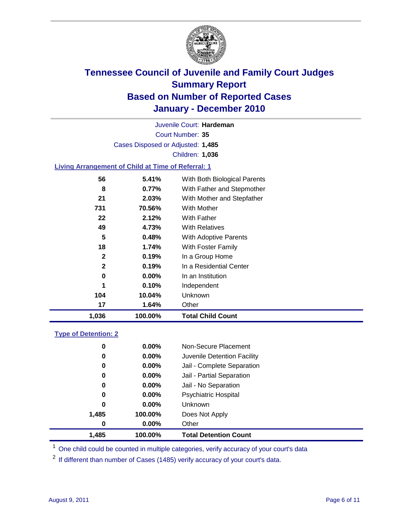

Court Number: **35** Juvenile Court: **Hardeman** Cases Disposed or Adjusted: **1,485** Children: **1,036**

### **Living Arrangement of Child at Time of Referral: 1**

| 1,036        | 100.00%  | <b>Total Child Count</b>     |
|--------------|----------|------------------------------|
| 17           | 1.64%    | Other                        |
| 104          | 10.04%   | Unknown                      |
| 1            | 0.10%    | Independent                  |
| 0            | $0.00\%$ | In an Institution            |
| $\mathbf{2}$ | 0.19%    | In a Residential Center      |
| $\mathbf{2}$ | 0.19%    | In a Group Home              |
| 18           | 1.74%    | With Foster Family           |
| 5            | 0.48%    | With Adoptive Parents        |
| 49           | 4.73%    | <b>With Relatives</b>        |
| 22           | 2.12%    | With Father                  |
| 731          | 70.56%   | With Mother                  |
| 21           | 2.03%    | With Mother and Stepfather   |
| 8            | 0.77%    | With Father and Stepmother   |
| 56           | 5.41%    | With Both Biological Parents |
|              |          |                              |

### **Type of Detention: 2**

| 1,485 | 100.00%  | <b>Total Detention Count</b> |
|-------|----------|------------------------------|
| 0     | $0.00\%$ | Other                        |
| 1,485 | 100.00%  | Does Not Apply               |
| 0     | $0.00\%$ | <b>Unknown</b>               |
| 0     | $0.00\%$ | Psychiatric Hospital         |
| 0     | 0.00%    | Jail - No Separation         |
| 0     | $0.00\%$ | Jail - Partial Separation    |
| 0     | 0.00%    | Jail - Complete Separation   |
| 0     | 0.00%    | Juvenile Detention Facility  |
| 0     | $0.00\%$ | Non-Secure Placement         |
|       |          |                              |

<sup>1</sup> One child could be counted in multiple categories, verify accuracy of your court's data

<sup>2</sup> If different than number of Cases (1485) verify accuracy of your court's data.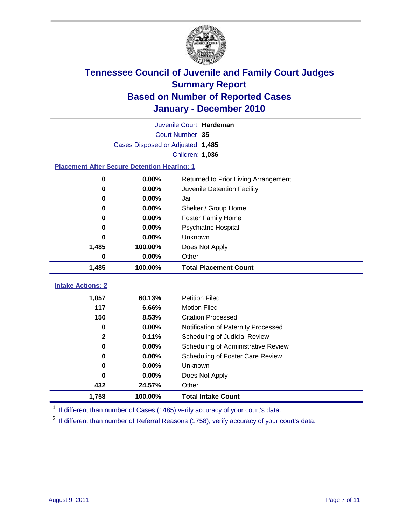

|                                                    | Juvenile Court: Hardeman          |                                      |  |  |  |  |  |
|----------------------------------------------------|-----------------------------------|--------------------------------------|--|--|--|--|--|
|                                                    | Court Number: 35                  |                                      |  |  |  |  |  |
|                                                    | Cases Disposed or Adjusted: 1,485 |                                      |  |  |  |  |  |
|                                                    | Children: 1,036                   |                                      |  |  |  |  |  |
| <b>Placement After Secure Detention Hearing: 1</b> |                                   |                                      |  |  |  |  |  |
| 0                                                  | 0.00%                             | Returned to Prior Living Arrangement |  |  |  |  |  |
| 0                                                  | 0.00%                             | Juvenile Detention Facility          |  |  |  |  |  |
| $\bf{0}$                                           | 0.00%                             | Jail                                 |  |  |  |  |  |
| $\bf{0}$                                           | 0.00%                             | Shelter / Group Home                 |  |  |  |  |  |
| 0                                                  | 0.00%                             | <b>Foster Family Home</b>            |  |  |  |  |  |
| 0                                                  | 0.00%                             | <b>Psychiatric Hospital</b>          |  |  |  |  |  |
| 0                                                  | 0.00%                             | Unknown                              |  |  |  |  |  |
| 1,485                                              | 100.00%                           | Does Not Apply                       |  |  |  |  |  |
| $\bf{0}$                                           | 0.00%                             | Other                                |  |  |  |  |  |
| 1,485                                              | 100.00%                           | <b>Total Placement Count</b>         |  |  |  |  |  |
|                                                    |                                   |                                      |  |  |  |  |  |
| <b>Intake Actions: 2</b>                           |                                   |                                      |  |  |  |  |  |
| 1,057                                              | 60.13%                            | <b>Petition Filed</b>                |  |  |  |  |  |
| 117                                                | 6.66%                             | <b>Motion Filed</b>                  |  |  |  |  |  |
| 150                                                | 8.53%                             | <b>Citation Processed</b>            |  |  |  |  |  |
| 0                                                  | 0.00%                             | Notification of Paternity Processed  |  |  |  |  |  |
| $\mathbf 2$                                        | 0.11%                             | Scheduling of Judicial Review        |  |  |  |  |  |
| $\bf{0}$                                           | 0.00%                             | Scheduling of Administrative Review  |  |  |  |  |  |
| 0                                                  | 0.00%                             | Scheduling of Foster Care Review     |  |  |  |  |  |
| $\bf{0}$                                           | 0.00%                             | Unknown                              |  |  |  |  |  |
| $\bf{0}$                                           | 0.00%                             | Does Not Apply                       |  |  |  |  |  |
| 432                                                | 24.57%                            | Other                                |  |  |  |  |  |
| 1,758                                              | 100.00%                           | <b>Total Intake Count</b>            |  |  |  |  |  |

<sup>1</sup> If different than number of Cases (1485) verify accuracy of your court's data.

<sup>2</sup> If different than number of Referral Reasons (1758), verify accuracy of your court's data.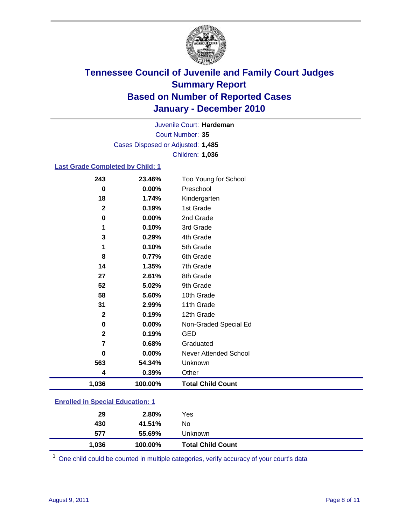

Court Number: **35** Juvenile Court: **Hardeman** Cases Disposed or Adjusted: **1,485** Children: **1,036**

### **Last Grade Completed by Child: 1**

| 243                                     | 23.46%  | Too Young for School         |  |
|-----------------------------------------|---------|------------------------------|--|
| 0                                       | 0.00%   | Preschool                    |  |
| 18                                      | 1.74%   | Kindergarten                 |  |
| $\mathbf 2$                             | 0.19%   | 1st Grade                    |  |
| 0                                       | 0.00%   | 2nd Grade                    |  |
| 1                                       | 0.10%   | 3rd Grade                    |  |
| 3                                       | 0.29%   | 4th Grade                    |  |
| 1                                       | 0.10%   | 5th Grade                    |  |
| 8                                       | 0.77%   | 6th Grade                    |  |
| 14                                      | 1.35%   | 7th Grade                    |  |
| 27                                      | 2.61%   | 8th Grade                    |  |
| 52                                      | 5.02%   | 9th Grade                    |  |
| 58                                      | 5.60%   | 10th Grade                   |  |
| 31                                      | 2.99%   | 11th Grade                   |  |
| $\mathbf{2}$                            | 0.19%   | 12th Grade                   |  |
| 0                                       | 0.00%   | Non-Graded Special Ed        |  |
| $\overline{2}$                          | 0.19%   | <b>GED</b>                   |  |
| 7                                       | 0.68%   | Graduated                    |  |
| 0                                       | 0.00%   | <b>Never Attended School</b> |  |
| 563                                     | 54.34%  | Unknown                      |  |
| 4                                       | 0.39%   | Other                        |  |
| 1,036                                   | 100.00% | <b>Total Child Count</b>     |  |
| <b>Enrolled in Special Education: 1</b> |         |                              |  |

| 1,036 | 100.00% | <b>Total Child Count</b> |
|-------|---------|--------------------------|
| 577   | 55.69%  | Unknown                  |
| 430   | 41.51%  | No                       |
| 29    | 2.80%   | Yes                      |

One child could be counted in multiple categories, verify accuracy of your court's data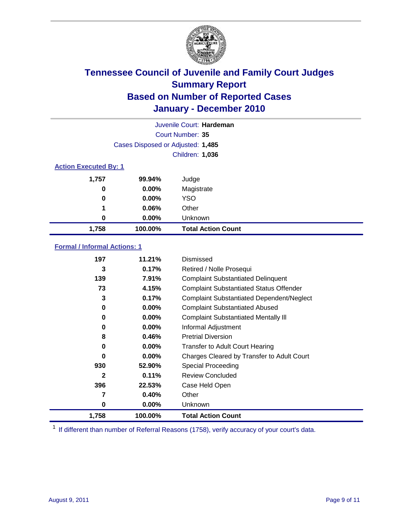

|                              |                                   | Juvenile Court: Hardeman  |
|------------------------------|-----------------------------------|---------------------------|
|                              |                                   | Court Number: 35          |
|                              | Cases Disposed or Adjusted: 1,485 |                           |
|                              |                                   | Children: 1,036           |
| <b>Action Executed By: 1</b> |                                   |                           |
| 1,757                        | 99.94%                            | Judge                     |
| 0                            | $0.00\%$                          | Magistrate                |
| $\bf{0}$                     | $0.00\%$                          | <b>YSO</b>                |
| 1                            | 0.06%                             | Other                     |
| 0                            | 0.00%                             | Unknown                   |
| 1,758                        | 100.00%                           | <b>Total Action Count</b> |

### **Formal / Informal Actions: 1**

| 197          | 11.21%   | Dismissed                                        |
|--------------|----------|--------------------------------------------------|
| 3            | 0.17%    | Retired / Nolle Prosequi                         |
| 139          | 7.91%    | <b>Complaint Substantiated Delinquent</b>        |
| 73           | 4.15%    | <b>Complaint Substantiated Status Offender</b>   |
| 3            | 0.17%    | <b>Complaint Substantiated Dependent/Neglect</b> |
| 0            | 0.00%    | <b>Complaint Substantiated Abused</b>            |
| 0            | $0.00\%$ | <b>Complaint Substantiated Mentally III</b>      |
| 0            | $0.00\%$ | Informal Adjustment                              |
| 8            | 0.46%    | <b>Pretrial Diversion</b>                        |
| 0            | $0.00\%$ | <b>Transfer to Adult Court Hearing</b>           |
| 0            | 0.00%    | Charges Cleared by Transfer to Adult Court       |
| 930          | 52.90%   | <b>Special Proceeding</b>                        |
| $\mathbf{2}$ | 0.11%    | <b>Review Concluded</b>                          |
| 396          | 22.53%   | Case Held Open                                   |
| 7            | 0.40%    | Other                                            |
| 0            | $0.00\%$ | <b>Unknown</b>                                   |
| 1,758        | 100.00%  | <b>Total Action Count</b>                        |

<sup>1</sup> If different than number of Referral Reasons (1758), verify accuracy of your court's data.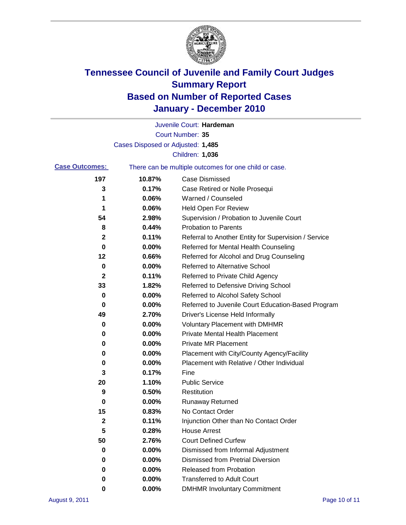

|                       |                                   | Juvenile Court: Hardeman                              |
|-----------------------|-----------------------------------|-------------------------------------------------------|
|                       |                                   | Court Number: 35                                      |
|                       | Cases Disposed or Adjusted: 1,485 |                                                       |
|                       |                                   | Children: 1,036                                       |
| <b>Case Outcomes:</b> |                                   | There can be multiple outcomes for one child or case. |
| 197                   | 10.87%                            | <b>Case Dismissed</b>                                 |
| 3                     | 0.17%                             | Case Retired or Nolle Prosequi                        |
| 1                     | 0.06%                             | Warned / Counseled                                    |
| 1                     | 0.06%                             | <b>Held Open For Review</b>                           |
| 54                    | 2.98%                             | Supervision / Probation to Juvenile Court             |
| 8                     | 0.44%                             | <b>Probation to Parents</b>                           |
| 2                     | 0.11%                             | Referral to Another Entity for Supervision / Service  |
| 0                     | 0.00%                             | Referred for Mental Health Counseling                 |
| 12                    | 0.66%                             | Referred for Alcohol and Drug Counseling              |
| 0                     | 0.00%                             | <b>Referred to Alternative School</b>                 |
| 2                     | 0.11%                             | Referred to Private Child Agency                      |
| 33                    | 1.82%                             | Referred to Defensive Driving School                  |
| 0                     | 0.00%                             | Referred to Alcohol Safety School                     |
| 0                     | 0.00%                             | Referred to Juvenile Court Education-Based Program    |
| 49                    | 2.70%                             | Driver's License Held Informally                      |
| 0                     | 0.00%                             | <b>Voluntary Placement with DMHMR</b>                 |
| 0                     | 0.00%                             | <b>Private Mental Health Placement</b>                |
| 0                     | 0.00%                             | <b>Private MR Placement</b>                           |
| 0                     | 0.00%                             | Placement with City/County Agency/Facility            |
| 0                     | 0.00%                             | Placement with Relative / Other Individual            |
| 3                     | 0.17%                             | Fine                                                  |
| 20                    | 1.10%                             | <b>Public Service</b>                                 |
| 9                     | 0.50%                             | Restitution                                           |
| 0                     | 0.00%                             | <b>Runaway Returned</b>                               |
| 15                    | 0.83%                             | No Contact Order                                      |
| 2                     | 0.11%                             | Injunction Other than No Contact Order                |
| 5                     | 0.28%                             | <b>House Arrest</b>                                   |
| 50                    | 2.76%                             | <b>Court Defined Curfew</b>                           |
| 0                     | 0.00%                             | Dismissed from Informal Adjustment                    |
| 0                     | 0.00%                             | <b>Dismissed from Pretrial Diversion</b>              |
| 0                     | 0.00%                             | <b>Released from Probation</b>                        |
| 0                     | 0.00%                             | <b>Transferred to Adult Court</b>                     |
| 0                     | $0.00\%$                          | <b>DMHMR Involuntary Commitment</b>                   |